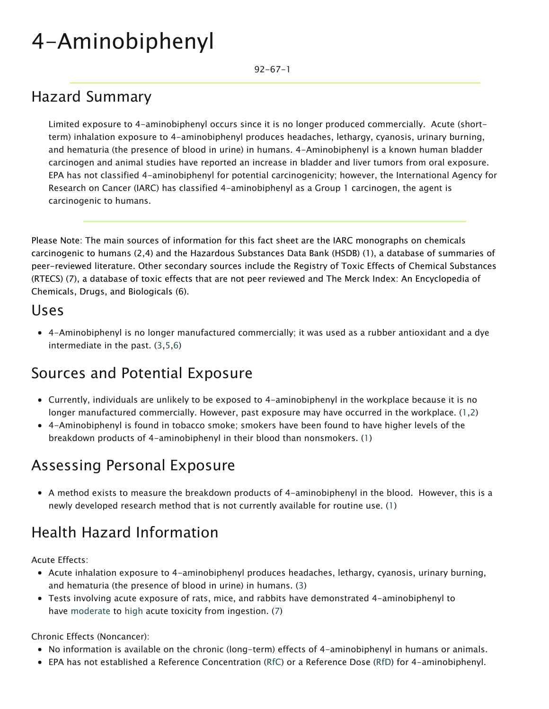# 4-Aminobiphenyl

92-67-1

#### Hazard Summary

Limited exposure to 4-aminobiphenyl occurs since it is no longer produced commercially. Acute (shortterm) inhalation exposure to 4-aminobiphenyl produces headaches, lethargy, cyanosis, urinary burning, and hematuria (the presence of blood in urine) in humans. 4-Aminobiphenyl is a known human bladder carcinogen and animal studies have reported an increase in bladder and liver tumors from oral exposure. EPA has not classified 4-aminobiphenyl for potential carcinogenicity; however, the International Agency for Research on Cancer (IARC) has classified 4-aminobiphenyl as a Group 1 carcinogen, the agent is carcinogenic to humans.

Please Note: The main sources of information for this fact sheet are the IARC monographs on chemicals carcinogenic to humans (2,4) and the Hazardous Substances Data Bank (HSDB) (1), a database of summaries of peer-reviewed literature. Other secondary sources include the Registry of Toxic Effects of Chemical Substances (RTECS) (7), a database of toxic effects that are not peer reviewed and The Merck Index: An Encyclopedia of Chemicals, Drugs, and Biologicals (6).

#### Uses

4-Aminobiphenyl is no longer manufactured commercially; it was used as a rubber antioxidant and a dye intermediate in the past. (3,5,6)

#### Sources and Potential Exposure

- Currently, individuals are unlikely to be exposed to 4-aminobiphenyl in the workplace because it is no longer manufactured commercially. However, past exposure may have occurred in the workplace. (1,2)
- 4-Aminobiphenyl is found in tobacco smoke; smokers have been found to have higher levels of the breakdown products of 4-aminobiphenyl in their blood than nonsmokers. (1)

#### Assessing Personal Exposure

A method exists to measure the breakdown products of 4-aminobiphenyl in the blood. However, this is a newly developed research method that is not currently available for routine use. (1)

## Health Hazard Information

Acute Effects:

- Acute inhalation exposure to 4-aminobiphenyl produces headaches, lethargy, cyanosis, urinary burning, and hematuria (the presence of blood in urine) in humans. (3)
- Tests involving acute exposure of rats, mice, and rabbits have demonstrated 4-aminobiphenyl to have [moderate](https://www.epa.gov/haps/about-health-effects-fact-sheets) to [high a](https://www.epa.gov/haps/about-health-effects-fact-sheets)cute toxicity from ingestion. (7)

Chronic Effects (Noncancer):

- No information is available on the chronic (long-term) effects of 4-aminobiphenyl in humans or animals.
- EPA has not established a Reference Concentration ([RfC\)](https://www.epa.gov/haps/health-effects-notebook-glossary) or a Reference Dose ([RfD](https://www.epa.gov/haps/health-effects-notebook-glossary)) for 4-aminobiphenyl.